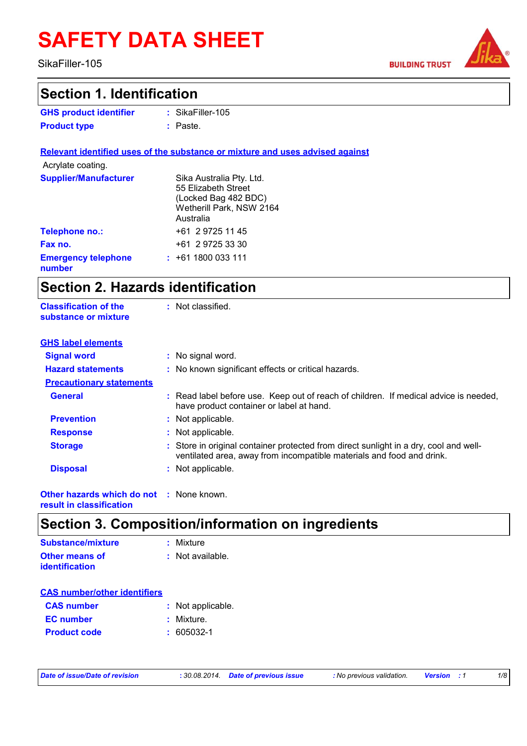# **SAFETY DATA SHEET**

SikaFiller-105

**Classification of the** 

**BUILDING TRUST** 



### **Section 1. Identification**

| <b>GHS product identifier</b> | $:$ SikaFiller-105 |
|-------------------------------|--------------------|
| <b>Product type</b>           | : Paste.           |

**Relevant identified uses of the substance or mixture and uses advised against** Acrylate coating.

: Not classified.

| <b>Supplier/Manufacturer</b>         | Sika Australia Pty. Ltd. |
|--------------------------------------|--------------------------|
|                                      | 55 Elizabeth Street      |
|                                      | (Locked Bag 482 BDC)     |
|                                      | Wetherill Park, NSW 2164 |
|                                      | Australia                |
| Telephone no.:                       | +61 2 9725 11 45         |
| Fax no.                              | +61 2 9725 33 30         |
| <b>Emergency telephone</b><br>number | $: +611800033111$        |

# **Section 2. Hazards identification**

| substance or mixture                                                        |                                                                                                                                                                |
|-----------------------------------------------------------------------------|----------------------------------------------------------------------------------------------------------------------------------------------------------------|
| <b>GHS label elements</b>                                                   |                                                                                                                                                                |
| <b>Signal word</b>                                                          | : No signal word.                                                                                                                                              |
| <b>Hazard statements</b>                                                    | : No known significant effects or critical hazards.                                                                                                            |
| <b>Precautionary statements</b>                                             |                                                                                                                                                                |
| <b>General</b>                                                              | : Read label before use. Keep out of reach of children. If medical advice is needed,<br>have product container or label at hand.                               |
| <b>Prevention</b>                                                           | : Not applicable.                                                                                                                                              |
| <b>Response</b>                                                             | : Not applicable.                                                                                                                                              |
| <b>Storage</b>                                                              | : Store in original container protected from direct sunlight in a dry, cool and well-<br>ventilated area, away from incompatible materials and food and drink. |
| <b>Disposal</b>                                                             | : Not applicable.                                                                                                                                              |
| <b>Other hazards which do not : None known.</b><br>result in classification |                                                                                                                                                                |

# **Section 3. Composition/information on ingredients**

| Substance/mixture     | : Mixture        |
|-----------------------|------------------|
| <b>Other means of</b> | : Not available. |
| <b>identification</b> |                  |

| <b>CAS number/other identifiers</b> |                   |
|-------------------------------------|-------------------|
| <b>CAS number</b>                   | : Not applicable. |
| <b>EC</b> number                    | : Mixture.        |
| <b>Product code</b>                 | $: 605032 - 1$    |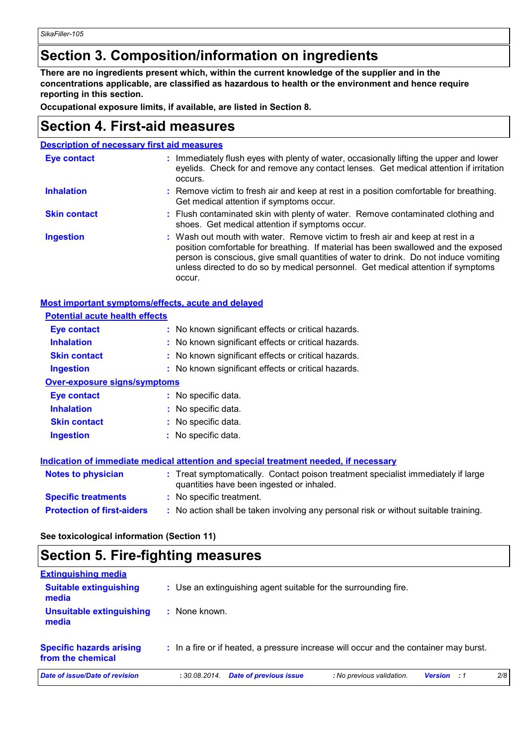### **Section 3. Composition/information on ingredients**

**There are no ingredients present which, within the current knowledge of the supplier and in the concentrations applicable, are classified as hazardous to health or the environment and hence require reporting in this section.**

**Occupational exposure limits, if available, are listed in Section 8.**

### **Section 4. First-aid measures**

**Description of necessary first aid measures**

| <b>Eye contact</b>  | : Immediately flush eyes with plenty of water, occasionally lifting the upper and lower<br>eyelids. Check for and remove any contact lenses. Get medical attention if irritation<br>occurs.                                                                                                                                                               |
|---------------------|-----------------------------------------------------------------------------------------------------------------------------------------------------------------------------------------------------------------------------------------------------------------------------------------------------------------------------------------------------------|
| <b>Inhalation</b>   | : Remove victim to fresh air and keep at rest in a position comfortable for breathing.<br>Get medical attention if symptoms occur.                                                                                                                                                                                                                        |
| <b>Skin contact</b> | : Flush contaminated skin with plenty of water. Remove contaminated clothing and<br>shoes. Get medical attention if symptoms occur.                                                                                                                                                                                                                       |
| <b>Ingestion</b>    | : Wash out mouth with water. Remove victim to fresh air and keep at rest in a<br>position comfortable for breathing. If material has been swallowed and the exposed<br>person is conscious, give small quantities of water to drink. Do not induce vomiting<br>unless directed to do so by medical personnel. Get medical attention if symptoms<br>occur. |

#### **Most important symptoms/effects, acute and delayed**

| <b>Potential acute health effects</b> |                                                                                                                                |
|---------------------------------------|--------------------------------------------------------------------------------------------------------------------------------|
| <b>Eye contact</b>                    | : No known significant effects or critical hazards.                                                                            |
| <b>Inhalation</b>                     | : No known significant effects or critical hazards.                                                                            |
| <b>Skin contact</b>                   | : No known significant effects or critical hazards.                                                                            |
| <b>Ingestion</b>                      | : No known significant effects or critical hazards.                                                                            |
| <b>Over-exposure signs/symptoms</b>   |                                                                                                                                |
| <b>Eye contact</b>                    | : No specific data.                                                                                                            |
| <b>Inhalation</b>                     | : No specific data.                                                                                                            |
| <b>Skin contact</b>                   | : No specific data.                                                                                                            |
| <b>Ingestion</b>                      | : No specific data.                                                                                                            |
|                                       | Indication of immediate medical attention and special treatment needed, if necessary                                           |
| <b>Notes to physician</b>             | : Treat symptomatically. Contact poison treatment specialist immediately if large<br>quantities have been ingested or inhaled. |
| <b>Specific treatments</b>            | : No specific treatment.                                                                                                       |
| <b>Protection of first-aiders</b>     | : No action shall be taken involving any personal risk or without suitable training.                                           |

**See toxicological information (Section 11)**

### **Section 5. Fire-fighting measures**

| Date of issue/Date of revision                       | <b>Date of previous issue</b><br>: 30.08.2014.                  | : No previous validation.<br><b>Version</b> : 1                                       | 2/8 |
|------------------------------------------------------|-----------------------------------------------------------------|---------------------------------------------------------------------------------------|-----|
| <b>Specific hazards arising</b><br>from the chemical |                                                                 | : In a fire or if heated, a pressure increase will occur and the container may burst. |     |
| Unsuitable extinguishing<br>media                    | None known.                                                     |                                                                                       |     |
| <b>Suitable extinguishing</b><br>media               | : Use an extinguishing agent suitable for the surrounding fire. |                                                                                       |     |
| <b>Extinguishing media</b>                           |                                                                 |                                                                                       |     |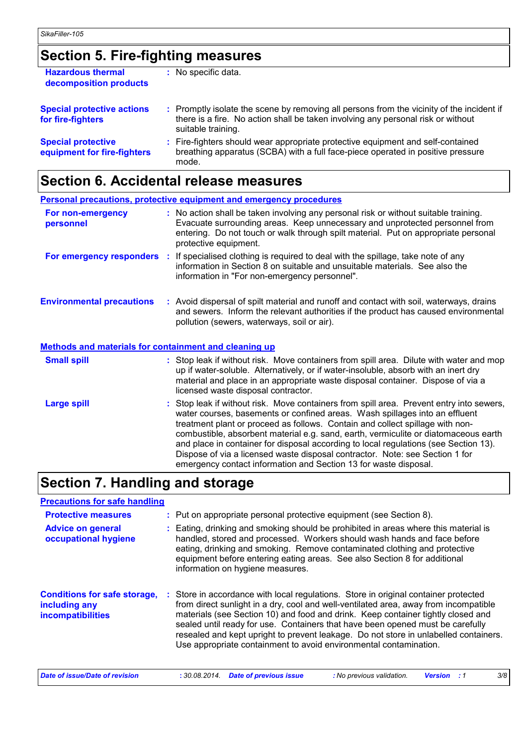# **Section 5. Fire-fighting measures**

| <b>Hazardous thermal</b><br>decomposition products       | : No specific data.                                                                                                                                                                                 |
|----------------------------------------------------------|-----------------------------------------------------------------------------------------------------------------------------------------------------------------------------------------------------|
| <b>Special protective actions</b><br>for fire-fighters   | : Promptly isolate the scene by removing all persons from the vicinity of the incident if<br>there is a fire. No action shall be taken involving any personal risk or without<br>suitable training. |
| <b>Special protective</b><br>equipment for fire-fighters | : Fire-fighters should wear appropriate protective equipment and self-contained<br>breathing apparatus (SCBA) with a full face-piece operated in positive pressure<br>mode.                         |

# **Section 6. Accidental release measures**

|                                                       | <b>Personal precautions, protective equipment and emergency procedures</b>                                                                                                                                                                                                                                                                                                                                                                                                                                                                                                                  |
|-------------------------------------------------------|---------------------------------------------------------------------------------------------------------------------------------------------------------------------------------------------------------------------------------------------------------------------------------------------------------------------------------------------------------------------------------------------------------------------------------------------------------------------------------------------------------------------------------------------------------------------------------------------|
| For non-emergency<br>personnel                        | : No action shall be taken involving any personal risk or without suitable training.<br>Evacuate surrounding areas. Keep unnecessary and unprotected personnel from<br>entering. Do not touch or walk through spilt material. Put on appropriate personal<br>protective equipment.                                                                                                                                                                                                                                                                                                          |
|                                                       | <b>For emergency responders</b> : If specialised clothing is required to deal with the spillage, take note of any<br>information in Section 8 on suitable and unsuitable materials. See also the<br>information in "For non-emergency personnel".                                                                                                                                                                                                                                                                                                                                           |
| <b>Environmental precautions</b>                      | : Avoid dispersal of spilt material and runoff and contact with soil, waterways, drains<br>and sewers. Inform the relevant authorities if the product has caused environmental<br>pollution (sewers, waterways, soil or air).                                                                                                                                                                                                                                                                                                                                                               |
| Methods and materials for containment and cleaning up |                                                                                                                                                                                                                                                                                                                                                                                                                                                                                                                                                                                             |
| <b>Small spill</b>                                    | : Stop leak if without risk. Move containers from spill area. Dilute with water and mop<br>up if water-soluble. Alternatively, or if water-insoluble, absorb with an inert dry<br>material and place in an appropriate waste disposal container. Dispose of via a<br>licensed waste disposal contractor.                                                                                                                                                                                                                                                                                    |
| <b>Large spill</b>                                    | : Stop leak if without risk. Move containers from spill area. Prevent entry into sewers,<br>water courses, basements or confined areas. Wash spillages into an effluent<br>treatment plant or proceed as follows. Contain and collect spillage with non-<br>combustible, absorbent material e.g. sand, earth, vermiculite or diatomaceous earth<br>and place in container for disposal according to local regulations (see Section 13).<br>Dispose of via a licensed waste disposal contractor. Note: see Section 1 for<br>emergency contact information and Section 13 for waste disposal. |

# **Section 7. Handling and storage**

| <b>Precautions for safe handling</b>                                             |                                                                                                                                                                                                                                                                                                                                                                                                                                                                                                                |                           |                |    |     |
|----------------------------------------------------------------------------------|----------------------------------------------------------------------------------------------------------------------------------------------------------------------------------------------------------------------------------------------------------------------------------------------------------------------------------------------------------------------------------------------------------------------------------------------------------------------------------------------------------------|---------------------------|----------------|----|-----|
| <b>Protective measures</b>                                                       | : Put on appropriate personal protective equipment (see Section 8).                                                                                                                                                                                                                                                                                                                                                                                                                                            |                           |                |    |     |
| <b>Advice on general</b><br>occupational hygiene                                 | : Eating, drinking and smoking should be prohibited in areas where this material is<br>handled, stored and processed. Workers should wash hands and face before<br>eating, drinking and smoking. Remove contaminated clothing and protective<br>equipment before entering eating areas. See also Section 8 for additional<br>information on hygiene measures.                                                                                                                                                  |                           |                |    |     |
| <b>Conditions for safe storage,</b><br>including any<br><b>incompatibilities</b> | : Store in accordance with local regulations. Store in original container protected<br>from direct sunlight in a dry, cool and well-ventilated area, away from incompatible<br>materials (see Section 10) and food and drink. Keep container tightly closed and<br>sealed until ready for use. Containers that have been opened must be carefully<br>resealed and kept upright to prevent leakage. Do not store in unlabelled containers.<br>Use appropriate containment to avoid environmental contamination. |                           |                |    |     |
| Date of issue/Date of revision                                                   | <b>Date of previous issue</b><br>: 30.08.2014.                                                                                                                                                                                                                                                                                                                                                                                                                                                                 | : No previous validation. | <b>Version</b> | :1 | 3/8 |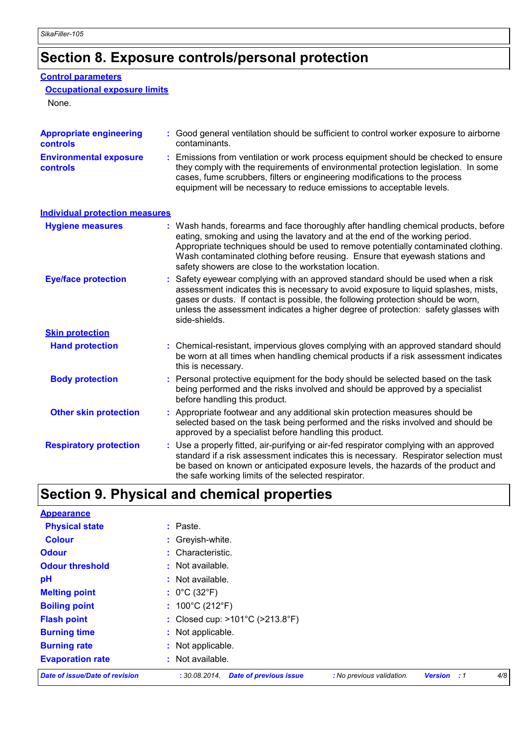# **Section 8. Exposure controls/personal protection**

#### **Control parameters**

### **Occupational exposure limits**

None.

| <b>Appropriate engineering</b><br><b>controls</b> | : Good general ventilation should be sufficient to control worker exposure to airborne<br>contaminants.                                                                                                                                                                                                                                                                                           |
|---------------------------------------------------|---------------------------------------------------------------------------------------------------------------------------------------------------------------------------------------------------------------------------------------------------------------------------------------------------------------------------------------------------------------------------------------------------|
| <b>Environmental exposure</b><br>controls         | Emissions from ventilation or work process equipment should be checked to ensure<br>they comply with the requirements of environmental protection legislation. In some<br>cases, fume scrubbers, filters or engineering modifications to the process<br>equipment will be necessary to reduce emissions to acceptable levels.                                                                     |
| <b>Individual protection measures</b>             |                                                                                                                                                                                                                                                                                                                                                                                                   |
| <b>Hygiene measures</b>                           | : Wash hands, forearms and face thoroughly after handling chemical products, before<br>eating, smoking and using the lavatory and at the end of the working period.<br>Appropriate techniques should be used to remove potentially contaminated clothing.<br>Wash contaminated clothing before reusing. Ensure that eyewash stations and<br>safety showers are close to the workstation location. |
| <b>Eye/face protection</b>                        | : Safety eyewear complying with an approved standard should be used when a risk<br>assessment indicates this is necessary to avoid exposure to liquid splashes, mists,<br>gases or dusts. If contact is possible, the following protection should be worn,<br>unless the assessment indicates a higher degree of protection: safety glasses with<br>side-shields.                                 |
| <b>Skin protection</b>                            |                                                                                                                                                                                                                                                                                                                                                                                                   |
| <b>Hand protection</b>                            | : Chemical-resistant, impervious gloves complying with an approved standard should<br>be worn at all times when handling chemical products if a risk assessment indicates<br>this is necessary.                                                                                                                                                                                                   |
| <b>Body protection</b>                            | Personal protective equipment for the body should be selected based on the task<br>being performed and the risks involved and should be approved by a specialist<br>before handling this product.                                                                                                                                                                                                 |
| <b>Other skin protection</b>                      | : Appropriate footwear and any additional skin protection measures should be<br>selected based on the task being performed and the risks involved and should be<br>approved by a specialist before handling this product.                                                                                                                                                                         |
| <b>Respiratory protection</b>                     | : Use a properly fitted, air-purifying or air-fed respirator complying with an approved<br>standard if a risk assessment indicates this is necessary. Respirator selection must<br>be based on known or anticipated exposure levels, the hazards of the product and<br>the safe working limits of the selected respirator.                                                                        |

# **Section 9. Physical and chemical properties**

| <b>Appearance</b>                     |                                                     |                           |                         |     |
|---------------------------------------|-----------------------------------------------------|---------------------------|-------------------------|-----|
| <b>Physical state</b>                 | : Paste.                                            |                           |                         |     |
| <b>Colour</b>                         | : Greyish-white.                                    |                           |                         |     |
| <b>Odour</b>                          | : Characteristic.                                   |                           |                         |     |
| <b>Odour threshold</b>                | : Not available.                                    |                           |                         |     |
| pH                                    | : Not available.                                    |                           |                         |     |
| <b>Melting point</b>                  | : $0^{\circ}$ C (32 $^{\circ}$ F)                   |                           |                         |     |
| <b>Boiling point</b>                  | : $100^{\circ}$ C (212 $^{\circ}$ F)                |                           |                         |     |
| <b>Flash point</b>                    | : Closed cup: $>101^{\circ}C$ ( $>213.8^{\circ}F$ ) |                           |                         |     |
| <b>Burning time</b>                   | : Not applicable.                                   |                           |                         |     |
| <b>Burning rate</b>                   | : Not applicable.                                   |                           |                         |     |
| <b>Evaporation rate</b>               | : Not available.                                    |                           |                         |     |
| <b>Date of issue/Date of revision</b> | <b>Date of previous issue</b><br>: 30.08.2014.      | : No previous validation. | <b>Version</b><br>- : 1 | 4/8 |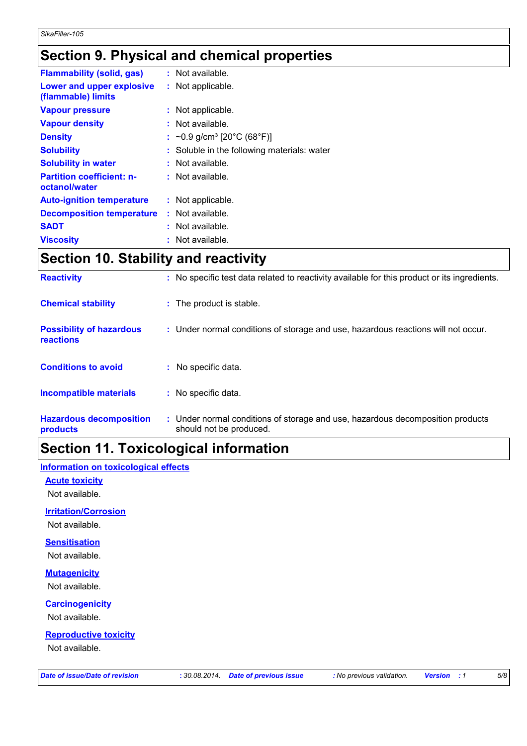# **Section 9. Physical and chemical properties**

| <b>Flammability (solid, gas)</b>                  | : Not available.                             |
|---------------------------------------------------|----------------------------------------------|
| Lower and upper explosive<br>(flammable) limits   | : Not applicable.                            |
| <b>Vapour pressure</b>                            | : Not applicable.                            |
| <b>Vapour density</b>                             | : Not available.                             |
| <b>Density</b>                                    | : $\sim$ 0.9 g/cm <sup>3</sup> [20°C (68°F)] |
| <b>Solubility</b>                                 | Soluble in the following materials: water    |
| <b>Solubility in water</b>                        | $:$ Not available.                           |
| <b>Partition coefficient: n-</b><br>octanol/water | : Not available.                             |
| <b>Auto-ignition temperature</b>                  | : Not applicable.                            |
| <b>Decomposition temperature</b>                  | : Not available.                             |
| <b>SADT</b>                                       | : Not available.                             |
| <b>Viscosity</b>                                  | : Not available.                             |

# **Section 10. Stability and reactivity**

| <b>Reactivity</b>                                   | : No specific test data related to reactivity available for this product or its ingredients.              |
|-----------------------------------------------------|-----------------------------------------------------------------------------------------------------------|
| <b>Chemical stability</b>                           | : The product is stable.                                                                                  |
| <b>Possibility of hazardous</b><br><b>reactions</b> | : Under normal conditions of storage and use, hazardous reactions will not occur.                         |
| <b>Conditions to avoid</b>                          | : No specific data.                                                                                       |
| <b>Incompatible materials</b>                       | : No specific data.                                                                                       |
| <b>Hazardous decomposition</b><br>products          | : Under normal conditions of storage and use, hazardous decomposition products<br>should not be produced. |

# **Section 11. Toxicological information**

#### **Information on toxicological effects**

**Acute toxicity**

Not available.

#### **Irritation/Corrosion**

Not available.

**Sensitisation**

Not available.

#### **Mutagenicity**

Not available.

#### **Carcinogenicity**

Not available.

#### **Reproductive toxicity**

Not available.

| Date of issue/Date of revision |
|--------------------------------|
|--------------------------------|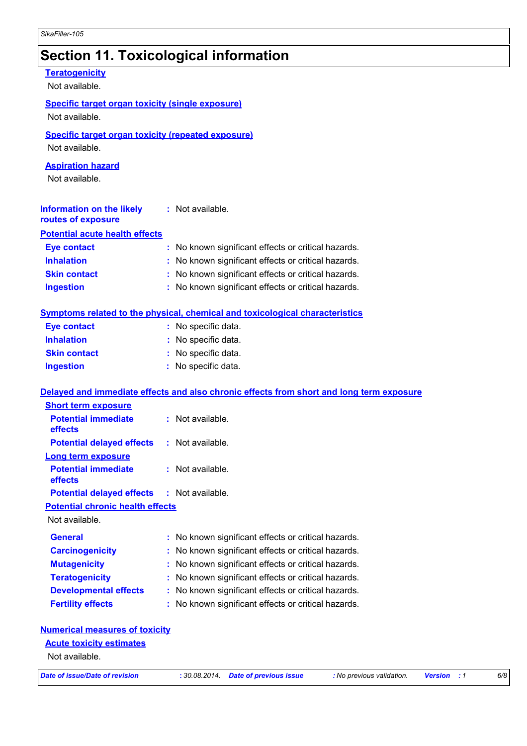# **Section 11. Toxicological information**

| <b>Teratogenicity</b><br>Not available.                                     |                                                                                          |
|-----------------------------------------------------------------------------|------------------------------------------------------------------------------------------|
| <b>Specific target organ toxicity (single exposure)</b><br>Not available.   |                                                                                          |
|                                                                             |                                                                                          |
| <b>Specific target organ toxicity (repeated exposure)</b><br>Not available. |                                                                                          |
|                                                                             |                                                                                          |
| <b>Aspiration hazard</b><br>Not available.                                  |                                                                                          |
| Information on the likely : Not available.<br>routes of exposure            |                                                                                          |
| <b>Potential acute health effects</b>                                       |                                                                                          |
| <b>Eye contact</b>                                                          | : No known significant effects or critical hazards.                                      |
| <b>Inhalation</b>                                                           | : No known significant effects or critical hazards.                                      |
| <b>Skin contact</b>                                                         | : No known significant effects or critical hazards.                                      |
| <b>Ingestion</b>                                                            | : No known significant effects or critical hazards.                                      |
|                                                                             | Symptoms related to the physical, chemical and toxicological characteristics             |
| <b>Eye contact</b>                                                          | : No specific data.                                                                      |
| <b>Inhalation</b>                                                           | : No specific data.                                                                      |
| <b>Skin contact</b>                                                         | : No specific data.                                                                      |
| <b>Ingestion</b>                                                            | : No specific data.                                                                      |
|                                                                             | Delayed and immediate effects and also chronic effects from short and long term exposure |
| <b>Short term exposure</b>                                                  |                                                                                          |
| <b>Potential immediate</b><br>effects                                       | : Not available.                                                                         |
| <b>Potential delayed effects</b>                                            | : Not available.                                                                         |
| <b>Long term exposure</b>                                                   |                                                                                          |
| <b>Potential immediate</b><br>effects                                       | Not available.                                                                           |
| <b>Potential delayed effects</b>                                            | : Not available.                                                                         |
| <b>Potential chronic health effects</b><br>Not available.                   |                                                                                          |
| <b>General</b>                                                              | No known significant effects or critical hazards.                                        |
| <b>Carcinogenicity</b>                                                      | No known significant effects or critical hazards.                                        |
| <b>Mutagenicity</b>                                                         | No known significant effects or critical hazards.                                        |
| <b>Teratogenicity</b>                                                       | No known significant effects or critical hazards.                                        |
| <b>Developmental effects</b>                                                | No known significant effects or critical hazards.                                        |
| <b>Fertility effects</b>                                                    | No known significant effects or critical hazards.                                        |
| <b>Numerical measures of toxicity</b>                                       |                                                                                          |
| <b>Acute toxicity estimates</b>                                             |                                                                                          |
|                                                                             |                                                                                          |

Not available.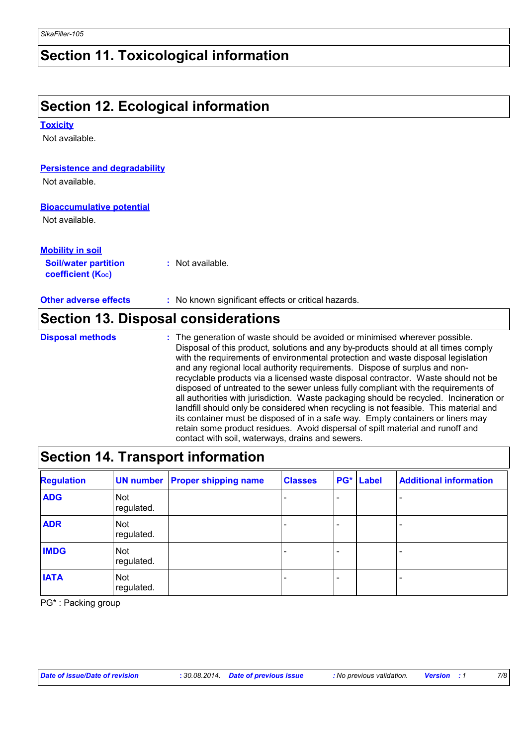### **Section 11. Toxicological information**

# **Section 12. Ecological information**

#### **Toxicity**

Not available.

#### **Persistence and degradability**

Not available.

#### **Bioaccumulative potential**

Not available.

#### **Mobility in soil**

**Soil/water partition coefficient (KOC) :** Not available.

**Other adverse effects** : No known significant effects or critical hazards.

### **Section 13. Disposal considerations**

The generation of waste should be avoided or minimised wherever possible. Disposal of this product, solutions and any by-products should at all times comply with the requirements of environmental protection and waste disposal legislation and any regional local authority requirements. Dispose of surplus and nonrecyclable products via a licensed waste disposal contractor. Waste should not be disposed of untreated to the sewer unless fully compliant with the requirements of all authorities with jurisdiction. Waste packaging should be recycled. Incineration or landfill should only be considered when recycling is not feasible. This material and its container must be disposed of in a safe way. Empty containers or liners may retain some product residues. Avoid dispersal of spilt material and runoff and contact with soil, waterways, drains and sewers. **Disposal methods :**

### **Section 14. Transport information**

| <b>Regulation</b> |                          | <b>UN number   Proper shipping name</b> | <b>Classes</b> | PG* | <b>Label</b> | <b>Additional information</b> |
|-------------------|--------------------------|-----------------------------------------|----------------|-----|--------------|-------------------------------|
| <b>ADG</b>        | <b>Not</b><br>regulated. |                                         |                |     |              |                               |
| <b>ADR</b>        | <b>Not</b><br>regulated. |                                         |                |     |              |                               |
| <b>IMDG</b>       | <b>Not</b><br>regulated. |                                         |                |     |              |                               |
| <b>IATA</b>       | <b>Not</b><br>regulated. |                                         |                |     |              |                               |

PG\* : Packing group